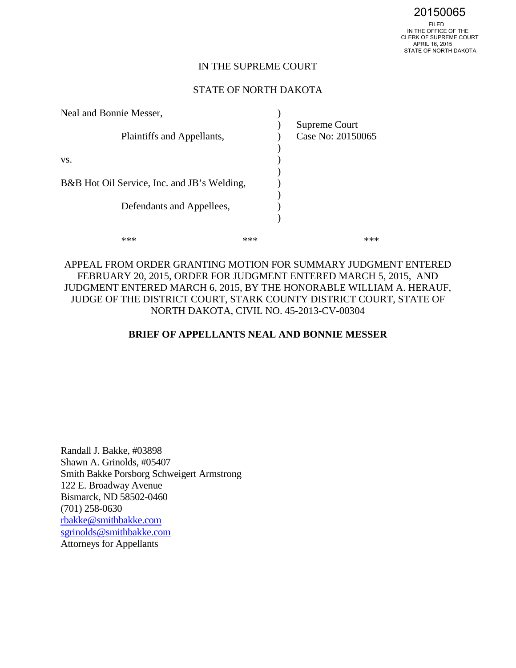#### IN THE SUPREME COURT

#### STATE OF NORTH DAKOTA

| Neal and Bonnie Messer,                     |     |                                    |
|---------------------------------------------|-----|------------------------------------|
| Plaintiffs and Appellants,                  |     | Supreme Court<br>Case No: 20150065 |
| VS.                                         |     |                                    |
| B&B Hot Oil Service, Inc. and JB's Welding, |     |                                    |
| Defendants and Appellees,                   |     |                                    |
|                                             | *** |                                    |

## APPEAL FROM ORDER GRANTING MOTION FOR SUMMARY JUDGMENT ENTERED FEBRUARY 20, 2015, ORDER FOR JUDGMENT ENTERED MARCH 5, 2015, AND JUDGMENT ENTERED MARCH 6, 2015, BY THE HONORABLE WILLIAM A. HERAUF, JUDGE OF THE DISTRICT COURT, STARK COUNTY DISTRICT COURT, STATE OF NORTH DAKOTA, CIVIL NO. 45-2013-CV-00304

#### **BRIEF OF APPELLANTS NEAL AND BONNIE MESSER**

Randall J. Bakke, #03898 Shawn A. Grinolds, #05407 Smith Bakke Porsborg Schweigert Armstrong 122 E. Broadway Avenue Bismarck, ND 58502-0460 (701) 258-0630 [rbakke@smithbakke.com](mailto:rbakke@smithbakke.com) [sgrinolds@smithbakke.com](mailto:sgrinolds@smithbakke.com)  Attorneys for Appellants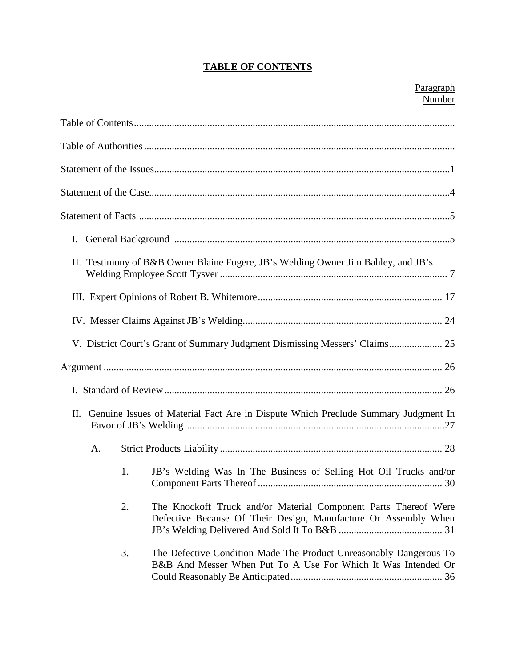# **TABLE OF CONTENTS**

| I. |    |                                                                                                                                     |
|----|----|-------------------------------------------------------------------------------------------------------------------------------------|
|    |    | II. Testimony of B&B Owner Blaine Fugere, JB's Welding Owner Jim Bahley, and JB's                                                   |
|    |    |                                                                                                                                     |
|    |    |                                                                                                                                     |
|    |    | V. District Court's Grant of Summary Judgment Dismissing Messers' Claims 25                                                         |
|    |    |                                                                                                                                     |
|    |    |                                                                                                                                     |
| П. |    | Genuine Issues of Material Fact Are in Dispute Which Preclude Summary Judgment In                                                   |
| A. |    |                                                                                                                                     |
|    | 1. | JB's Welding Was In The Business of Selling Hot Oil Trucks and/or                                                                   |
|    | 2. | The Knockoff Truck and/or Material Component Parts Thereof Were<br>Defective Because Of Their Design, Manufacture Or Assembly When  |
|    | 3. | The Defective Condition Made The Product Unreasonably Dangerous To<br>B&B And Messer When Put To A Use For Which It Was Intended Or |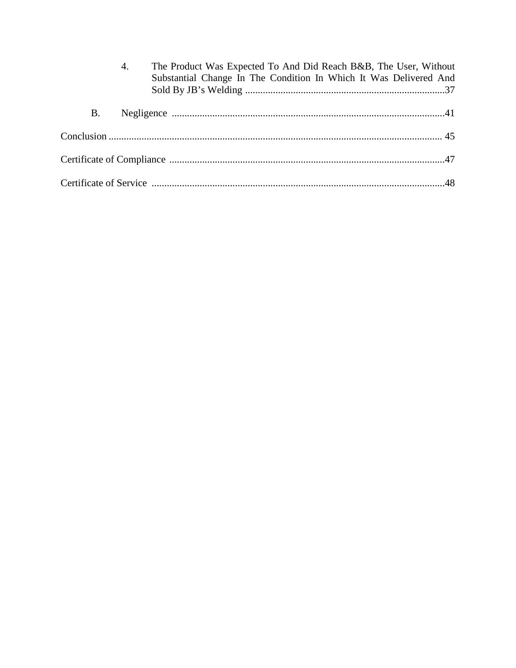|           | 4. | The Product Was Expected To And Did Reach B&B, The User, Without<br>Substantial Change In The Condition In Which It Was Delivered And |  |
|-----------|----|---------------------------------------------------------------------------------------------------------------------------------------|--|
| <b>B.</b> |    |                                                                                                                                       |  |
|           |    |                                                                                                                                       |  |
|           |    |                                                                                                                                       |  |
|           |    |                                                                                                                                       |  |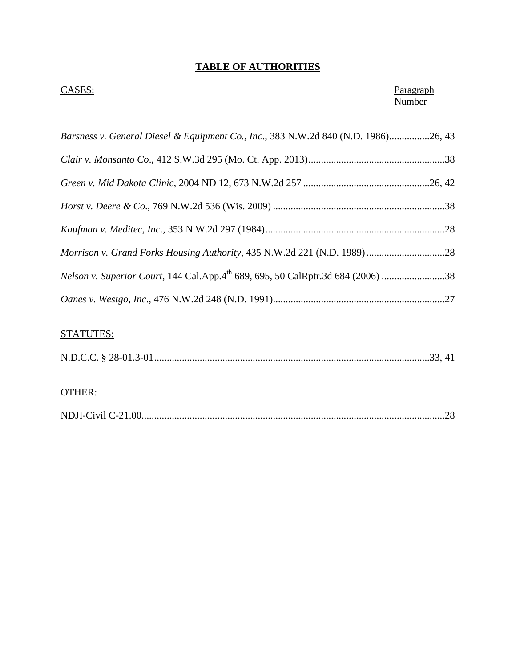# **TABLE OF AUTHORITIES**

## **CASES:** Paragraph **Number**

| Barsness v. General Diesel & Equipment Co., Inc., 383 N.W.2d 840 (N.D. 1986)26, 43          |  |
|---------------------------------------------------------------------------------------------|--|
|                                                                                             |  |
|                                                                                             |  |
|                                                                                             |  |
|                                                                                             |  |
| Morrison v. Grand Forks Housing Authority, 435 N.W.2d 221 (N.D. 1989) 28                    |  |
| Nelson v. Superior Court, 144 Cal.App.4 <sup>th</sup> 689, 695, 50 CalRptr.3d 684 (2006) 38 |  |
|                                                                                             |  |

# STATUTES:

# OTHER:

|--|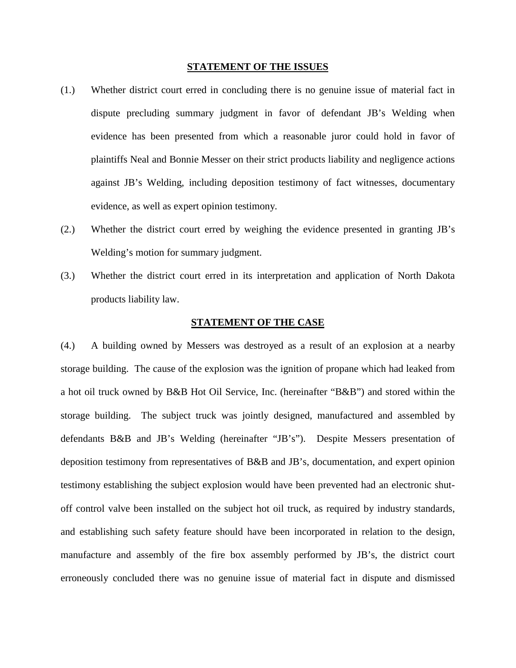#### **STATEMENT OF THE ISSUES**

- (1.) Whether district court erred in concluding there is no genuine issue of material fact in dispute precluding summary judgment in favor of defendant JB's Welding when evidence has been presented from which a reasonable juror could hold in favor of plaintiffs Neal and Bonnie Messer on their strict products liability and negligence actions against JB's Welding, including deposition testimony of fact witnesses, documentary evidence, as well as expert opinion testimony.
- (2.) Whether the district court erred by weighing the evidence presented in granting JB's Welding's motion for summary judgment.
- (3.) Whether the district court erred in its interpretation and application of North Dakota products liability law.

#### **STATEMENT OF THE CASE**

(4.) A building owned by Messers was destroyed as a result of an explosion at a nearby storage building. The cause of the explosion was the ignition of propane which had leaked from a hot oil truck owned by B&B Hot Oil Service, Inc. (hereinafter "B&B") and stored within the storage building. The subject truck was jointly designed, manufactured and assembled by defendants B&B and JB's Welding (hereinafter "JB's"). Despite Messers presentation of deposition testimony from representatives of B&B and JB's, documentation, and expert opinion testimony establishing the subject explosion would have been prevented had an electronic shutoff control valve been installed on the subject hot oil truck, as required by industry standards, and establishing such safety feature should have been incorporated in relation to the design, manufacture and assembly of the fire box assembly performed by JB's, the district court erroneously concluded there was no genuine issue of material fact in dispute and dismissed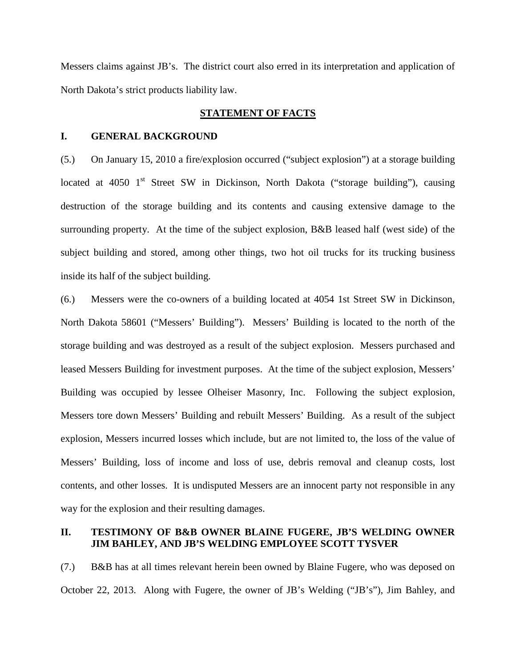Messers claims against JB's. The district court also erred in its interpretation and application of North Dakota's strict products liability law.

#### **STATEMENT OF FACTS**

#### **I. GENERAL BACKGROUND**

(5.) On January 15, 2010 a fire/explosion occurred ("subject explosion") at a storage building located at  $4050$  1<sup>st</sup> Street SW in Dickinson, North Dakota ("storage building"), causing destruction of the storage building and its contents and causing extensive damage to the surrounding property. At the time of the subject explosion, B&B leased half (west side) of the subject building and stored, among other things, two hot oil trucks for its trucking business inside its half of the subject building.

(6.) Messers were the co-owners of a building located at 4054 1st Street SW in Dickinson, North Dakota 58601 ("Messers' Building"). Messers' Building is located to the north of the storage building and was destroyed as a result of the subject explosion. Messers purchased and leased Messers Building for investment purposes. At the time of the subject explosion, Messers' Building was occupied by lessee Olheiser Masonry, Inc. Following the subject explosion, Messers tore down Messers' Building and rebuilt Messers' Building. As a result of the subject explosion, Messers incurred losses which include, but are not limited to, the loss of the value of Messers' Building, loss of income and loss of use, debris removal and cleanup costs, lost contents, and other losses. It is undisputed Messers are an innocent party not responsible in any way for the explosion and their resulting damages.

#### **II. TESTIMONY OF B&B OWNER BLAINE FUGERE, JB'S WELDING OWNER JIM BAHLEY, AND JB'S WELDING EMPLOYEE SCOTT TYSVER**

(7.) B&B has at all times relevant herein been owned by Blaine Fugere, who was deposed on October 22, 2013. Along with Fugere, the owner of JB's Welding ("JB's"), Jim Bahley, and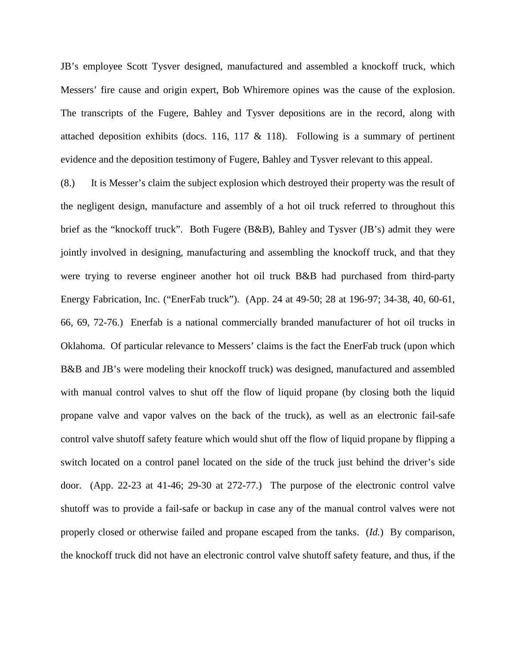JB's employee Scott Tysver designed, manufactured and assembled a knockoff truck, which Messers' fire cause and origin expert, Bob Whiremore opines was the cause of the explosion. The transcripts of the Fugere, Bahley and Tysver depositions are in the record, along with attached deposition exhibits (docs. 116, 117  $\&$  118). Following is a summary of pertinent evidence and the deposition testimony of Fugere, Bahley and Tysver relevant to this appeal.

(8.) It is Messer's claim the subject explosion which destroyed their property was the result of the negligent design, manufacture and assembly of a hot oil truck referred to throughout this brief as the "knockoff truck". Both Fugere (B&B), Bahley and Tysver (JB's) admit they were jointly involved in designing, manufacturing and assembling the knockoff truck, and that they were trying to reverse engineer another hot oil truck B&B had purchased from third-party Energy Fabrication, Inc. ("EnerFab truck"). (App. 24 at 49-50; 28 at 196-97; 34-38, 40, 60-61, 66, 69, 72-76.) Enerfab is a national commercially branded manufacturer of hot oil trucks in Oklahoma. Of particular relevance to Messers' claims is the fact the EnerFab truck (upon which B&B and JB's were modeling their knockoff truck) was designed, manufactured and assembled with manual control valves to shut off the flow of liquid propane (by closing both the liquid propane valve and vapor valves on the back of the truck), as well as an electronic fail-safe control valve shutoff safety feature which would shut off the flow of liquid propane by flipping a switch located on a control panel located on the side of the truck just behind the driver's side door. (App. 22-23 at 41-46; 29-30 at 272-77.) The purpose of the electronic control valve shutoff was to provide a fail-safe or backup in case any of the manual control valves were not properly closed or otherwise failed and propane escaped from the tanks. (*Id.*) By comparison, the knockoff truck did not have an electronic control valve shutoff safety feature, and thus, if the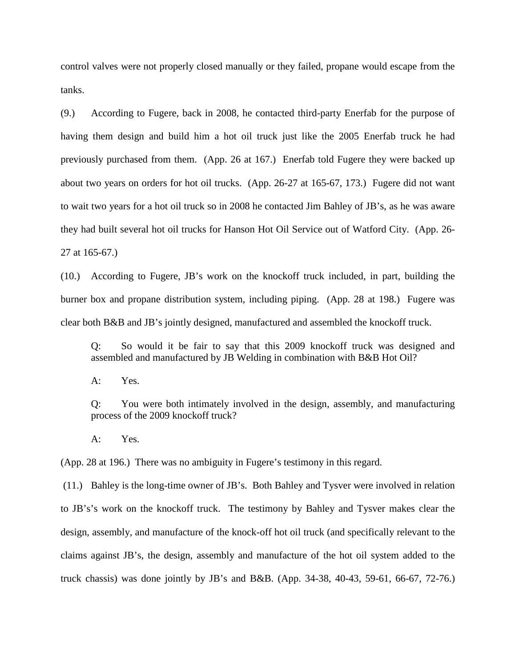control valves were not properly closed manually or they failed, propane would escape from the tanks.

(9.) According to Fugere, back in 2008, he contacted third-party Enerfab for the purpose of having them design and build him a hot oil truck just like the 2005 Enerfab truck he had previously purchased from them. (App. 26 at 167.) Enerfab told Fugere they were backed up about two years on orders for hot oil trucks. (App. 26-27 at 165-67, 173.) Fugere did not want to wait two years for a hot oil truck so in 2008 he contacted Jim Bahley of JB's, as he was aware they had built several hot oil trucks for Hanson Hot Oil Service out of Watford City. (App. 26- 27 at 165-67.)

(10.) According to Fugere, JB's work on the knockoff truck included, in part, building the burner box and propane distribution system, including piping. (App. 28 at 198.) Fugere was clear both B&B and JB's jointly designed, manufactured and assembled the knockoff truck.

Q: So would it be fair to say that this 2009 knockoff truck was designed and assembled and manufactured by JB Welding in combination with B&B Hot Oil?

A: Yes.

Q: You were both intimately involved in the design, assembly, and manufacturing process of the 2009 knockoff truck?

A: Yes.

(App. 28 at 196.) There was no ambiguity in Fugere's testimony in this regard.

(11.) Bahley is the long-time owner of JB's. Both Bahley and Tysver were involved in relation to JB's's work on the knockoff truck. The testimony by Bahley and Tysver makes clear the design, assembly, and manufacture of the knock-off hot oil truck (and specifically relevant to the claims against JB's, the design, assembly and manufacture of the hot oil system added to the truck chassis) was done jointly by JB's and B&B. (App. 34-38, 40-43, 59-61, 66-67, 72-76.)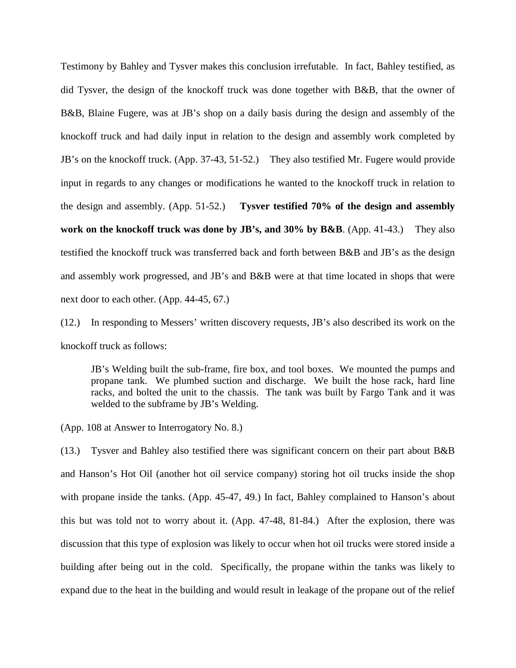Testimony by Bahley and Tysver makes this conclusion irrefutable. In fact, Bahley testified, as did Tysver, the design of the knockoff truck was done together with B&B, that the owner of B&B, Blaine Fugere, was at JB's shop on a daily basis during the design and assembly of the knockoff truck and had daily input in relation to the design and assembly work completed by JB's on the knockoff truck. (App. 37-43, 51-52.) They also testified Mr. Fugere would provide input in regards to any changes or modifications he wanted to the knockoff truck in relation to the design and assembly. (App. 51-52.) **Tysver testified 70% of the design and assembly work on the knockoff truck was done by JB's, and 30% by B&B**. (App. 41-43.) They also testified the knockoff truck was transferred back and forth between B&B and JB's as the design and assembly work progressed, and JB's and B&B were at that time located in shops that were next door to each other. (App. 44-45, 67.)

(12.) In responding to Messers' written discovery requests, JB's also described its work on the knockoff truck as follows:

JB's Welding built the sub-frame, fire box, and tool boxes. We mounted the pumps and propane tank. We plumbed suction and discharge. We built the hose rack, hard line racks, and bolted the unit to the chassis. The tank was built by Fargo Tank and it was welded to the subframe by JB's Welding.

(App. 108 at Answer to Interrogatory No. 8.)

(13.) Tysver and Bahley also testified there was significant concern on their part about B&B and Hanson's Hot Oil (another hot oil service company) storing hot oil trucks inside the shop with propane inside the tanks. (App. 45-47, 49.) In fact, Bahley complained to Hanson's about this but was told not to worry about it. (App. 47-48, 81-84.) After the explosion, there was discussion that this type of explosion was likely to occur when hot oil trucks were stored inside a building after being out in the cold. Specifically, the propane within the tanks was likely to expand due to the heat in the building and would result in leakage of the propane out of the relief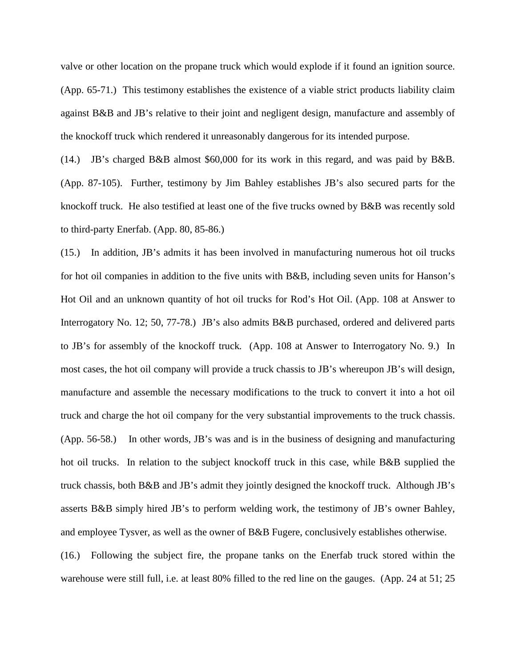valve or other location on the propane truck which would explode if it found an ignition source. (App. 65-71.) This testimony establishes the existence of a viable strict products liability claim against B&B and JB's relative to their joint and negligent design, manufacture and assembly of the knockoff truck which rendered it unreasonably dangerous for its intended purpose.

(14.) JB's charged B&B almost \$60,000 for its work in this regard, and was paid by B&B. (App. 87-105). Further, testimony by Jim Bahley establishes JB's also secured parts for the knockoff truck. He also testified at least one of the five trucks owned by B&B was recently sold to third-party Enerfab. (App. 80, 85-86.)

(15.) In addition, JB's admits it has been involved in manufacturing numerous hot oil trucks for hot oil companies in addition to the five units with B&B, including seven units for Hanson's Hot Oil and an unknown quantity of hot oil trucks for Rod's Hot Oil. (App. 108 at Answer to Interrogatory No. 12; 50, 77-78.) JB's also admits B&B purchased, ordered and delivered parts to JB's for assembly of the knockoff truck*.* (App. 108 at Answer to Interrogatory No. 9.) In most cases, the hot oil company will provide a truck chassis to JB's whereupon JB's will design, manufacture and assemble the necessary modifications to the truck to convert it into a hot oil truck and charge the hot oil company for the very substantial improvements to the truck chassis. (App. 56-58.) In other words, JB's was and is in the business of designing and manufacturing hot oil trucks. In relation to the subject knockoff truck in this case, while B&B supplied the truck chassis, both B&B and JB's admit they jointly designed the knockoff truck. Although JB's asserts B&B simply hired JB's to perform welding work, the testimony of JB's owner Bahley, and employee Tysver, as well as the owner of B&B Fugere, conclusively establishes otherwise.

(16.) Following the subject fire, the propane tanks on the Enerfab truck stored within the warehouse were still full, i.e. at least 80% filled to the red line on the gauges. (App. 24 at 51; 25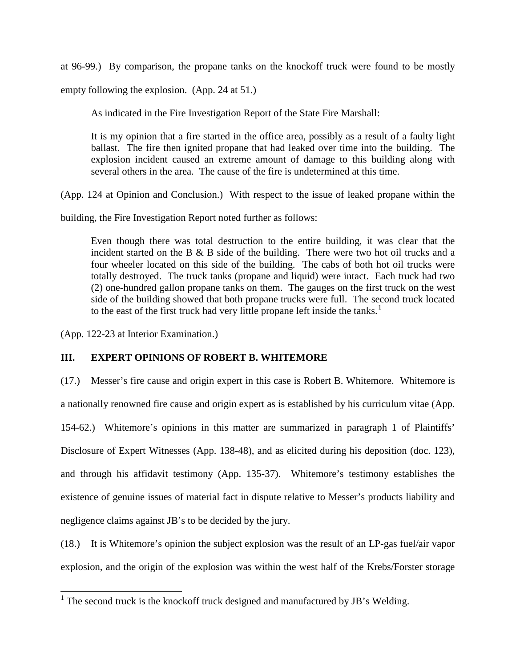at 96-99.) By comparison, the propane tanks on the knockoff truck were found to be mostly empty following the explosion. (App. 24 at 51.)

As indicated in the Fire Investigation Report of the State Fire Marshall:

It is my opinion that a fire started in the office area, possibly as a result of a faulty light ballast. The fire then ignited propane that had leaked over time into the building. The explosion incident caused an extreme amount of damage to this building along with several others in the area. The cause of the fire is undetermined at this time.

(App. 124 at Opinion and Conclusion.) With respect to the issue of leaked propane within the

building, the Fire Investigation Report noted further as follows:

Even though there was total destruction to the entire building, it was clear that the incident started on the B  $\&$  B side of the building. There were two hot oil trucks and a four wheeler located on this side of the building. The cabs of both hot oil trucks were totally destroyed. The truck tanks (propane and liquid) were intact. Each truck had two (2) one-hundred gallon propane tanks on them. The gauges on the first truck on the west side of the building showed that both propane trucks were full. The second truck located to the east of the first truck had very little propane left inside the tanks.<sup>[1](#page-10-0)</sup>

(App. 122-23 at Interior Examination.)

## **III. EXPERT OPINIONS OF ROBERT B. WHITEMORE**

(17.) Messer's fire cause and origin expert in this case is Robert B. Whitemore. Whitemore is a nationally renowned fire cause and origin expert as is established by his curriculum vitae (App. 154-62.) Whitemore's opinions in this matter are summarized in paragraph 1 of Plaintiffs' Disclosure of Expert Witnesses (App. 138-48), and as elicited during his deposition (doc. 123), and through his affidavit testimony (App. 135-37). Whitemore's testimony establishes the existence of genuine issues of material fact in dispute relative to Messer's products liability and negligence claims against JB's to be decided by the jury.

(18.) It is Whitemore's opinion the subject explosion was the result of an LP-gas fuel/air vapor explosion, and the origin of the explosion was within the west half of the Krebs/Forster storage

<span id="page-10-0"></span><sup>&</sup>lt;sup>1</sup> The second truck is the knockoff truck designed and manufactured by JB's Welding.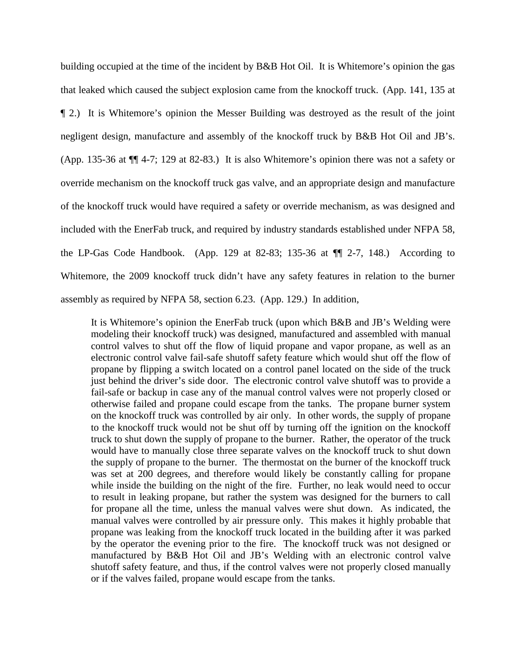building occupied at the time of the incident by B&B Hot Oil. It is Whitemore's opinion the gas that leaked which caused the subject explosion came from the knockoff truck. (App. 141, 135 at ¶ 2.) It is Whitemore's opinion the Messer Building was destroyed as the result of the joint negligent design, manufacture and assembly of the knockoff truck by B&B Hot Oil and JB's. (App. 135-36 at ¶¶ 4-7; 129 at 82-83.) It is also Whitemore's opinion there was not a safety or override mechanism on the knockoff truck gas valve, and an appropriate design and manufacture of the knockoff truck would have required a safety or override mechanism, as was designed and included with the EnerFab truck, and required by industry standards established under NFPA 58, the LP-Gas Code Handbook. (App. 129 at 82-83; 135-36 at  $\P$  2-7, 148.) According to Whitemore, the 2009 knockoff truck didn't have any safety features in relation to the burner assembly as required by NFPA 58, section 6.23. (App. 129.) In addition,

It is Whitemore's opinion the EnerFab truck (upon which B&B and JB's Welding were modeling their knockoff truck) was designed, manufactured and assembled with manual control valves to shut off the flow of liquid propane and vapor propane, as well as an electronic control valve fail-safe shutoff safety feature which would shut off the flow of propane by flipping a switch located on a control panel located on the side of the truck just behind the driver's side door. The electronic control valve shutoff was to provide a fail-safe or backup in case any of the manual control valves were not properly closed or otherwise failed and propane could escape from the tanks. The propane burner system on the knockoff truck was controlled by air only. In other words, the supply of propane to the knockoff truck would not be shut off by turning off the ignition on the knockoff truck to shut down the supply of propane to the burner. Rather, the operator of the truck would have to manually close three separate valves on the knockoff truck to shut down the supply of propane to the burner. The thermostat on the burner of the knockoff truck was set at 200 degrees, and therefore would likely be constantly calling for propane while inside the building on the night of the fire. Further, no leak would need to occur to result in leaking propane, but rather the system was designed for the burners to call for propane all the time, unless the manual valves were shut down. As indicated, the manual valves were controlled by air pressure only. This makes it highly probable that propane was leaking from the knockoff truck located in the building after it was parked by the operator the evening prior to the fire. The knockoff truck was not designed or manufactured by B&B Hot Oil and JB's Welding with an electronic control valve shutoff safety feature, and thus, if the control valves were not properly closed manually or if the valves failed, propane would escape from the tanks.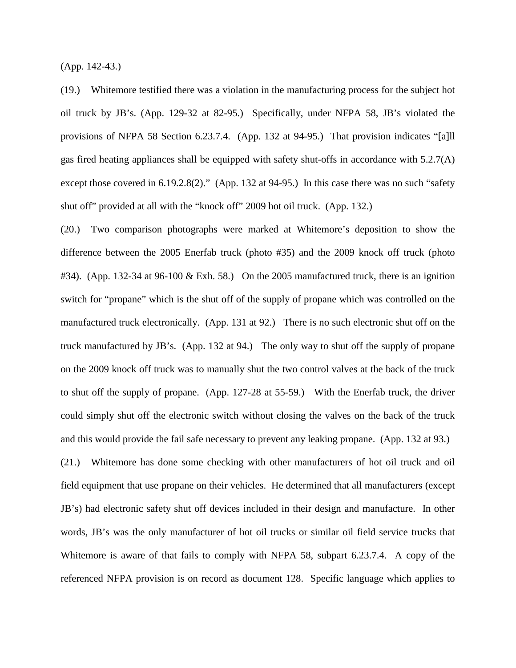(App. 142-43.)

(19.) Whitemore testified there was a violation in the manufacturing process for the subject hot oil truck by JB's. (App. 129-32 at 82-95.) Specifically, under NFPA 58, JB's violated the provisions of NFPA 58 Section 6.23.7.4. (App. 132 at 94-95.) That provision indicates "[a]ll gas fired heating appliances shall be equipped with safety shut-offs in accordance with 5.2.7(A) except those covered in 6.19.2.8(2)." (App. 132 at 94-95.) In this case there was no such "safety shut off" provided at all with the "knock off" 2009 hot oil truck. (App. 132.)

(20.) Two comparison photographs were marked at Whitemore's deposition to show the difference between the 2005 Enerfab truck (photo #35) and the 2009 knock off truck (photo #34). (App. 132-34 at 96-100 & Exh. 58.) On the 2005 manufactured truck, there is an ignition switch for "propane" which is the shut off of the supply of propane which was controlled on the manufactured truck electronically. (App. 131 at 92.) There is no such electronic shut off on the truck manufactured by JB's. (App. 132 at 94.) The only way to shut off the supply of propane on the 2009 knock off truck was to manually shut the two control valves at the back of the truck to shut off the supply of propane. (App. 127-28 at 55-59.) With the Enerfab truck, the driver could simply shut off the electronic switch without closing the valves on the back of the truck and this would provide the fail safe necessary to prevent any leaking propane. (App. 132 at 93.)

(21.) Whitemore has done some checking with other manufacturers of hot oil truck and oil field equipment that use propane on their vehicles. He determined that all manufacturers (except JB's) had electronic safety shut off devices included in their design and manufacture. In other words, JB's was the only manufacturer of hot oil trucks or similar oil field service trucks that Whitemore is aware of that fails to comply with NFPA 58, subpart 6.23.7.4. A copy of the referenced NFPA provision is on record as document 128. Specific language which applies to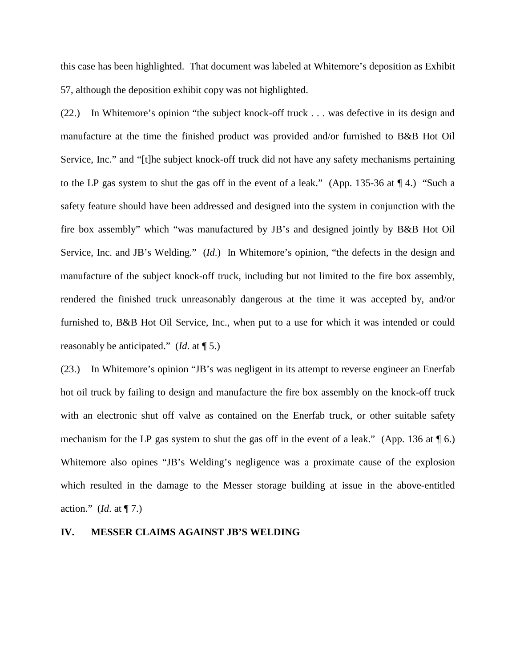this case has been highlighted. That document was labeled at Whitemore's deposition as Exhibit 57, although the deposition exhibit copy was not highlighted.

(22.) In Whitemore's opinion "the subject knock-off truck . . . was defective in its design and manufacture at the time the finished product was provided and/or furnished to B&B Hot Oil Service, Inc." and "[t]he subject knock-off truck did not have any safety mechanisms pertaining to the LP gas system to shut the gas off in the event of a leak." (App. 135-36 at ¶ 4.) "Such a safety feature should have been addressed and designed into the system in conjunction with the fire box assembly" which "was manufactured by JB's and designed jointly by B&B Hot Oil Service, Inc. and JB's Welding." (*Id*.) In Whitemore's opinion, "the defects in the design and manufacture of the subject knock-off truck, including but not limited to the fire box assembly, rendered the finished truck unreasonably dangerous at the time it was accepted by, and/or furnished to, B&B Hot Oil Service, Inc., when put to a use for which it was intended or could reasonably be anticipated." (*Id*. at ¶ 5.)

(23.) In Whitemore's opinion "JB's was negligent in its attempt to reverse engineer an Enerfab hot oil truck by failing to design and manufacture the fire box assembly on the knock-off truck with an electronic shut off valve as contained on the Enerfab truck, or other suitable safety mechanism for the LP gas system to shut the gas off in the event of a leak." (App. 136 at  $\P$  6.) Whitemore also opines "JB's Welding's negligence was a proximate cause of the explosion which resulted in the damage to the Messer storage building at issue in the above-entitled action." (*Id*. at ¶ 7.)

#### **IV. MESSER CLAIMS AGAINST JB'S WELDING**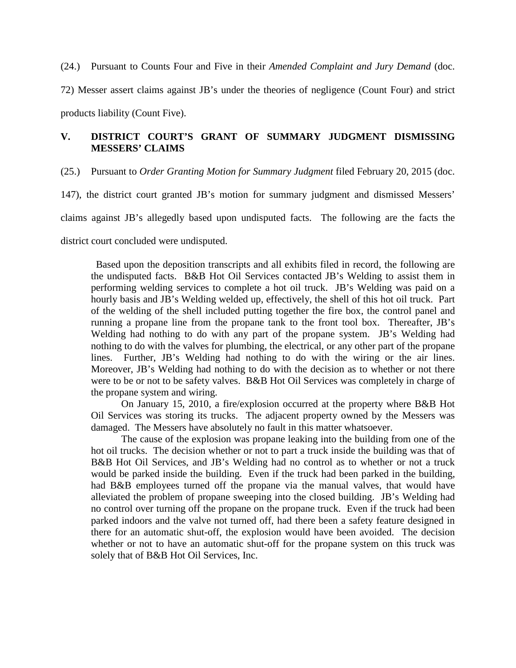(24.) Pursuant to Counts Four and Five in their *Amended Complaint and Jury Demand* (doc.

72) Messer assert claims against JB's under the theories of negligence (Count Four) and strict products liability (Count Five).

## **V. DISTRICT COURT'S GRANT OF SUMMARY JUDGMENT DISMISSING MESSERS' CLAIMS**

(25.) Pursuant to *Order Granting Motion for Summary Judgment* filed February 20, 2015 (doc.

147), the district court granted JB's motion for summary judgment and dismissed Messers'

claims against JB's allegedly based upon undisputed facts. The following are the facts the

district court concluded were undisputed.

 Based upon the deposition transcripts and all exhibits filed in record, the following are the undisputed facts. B&B Hot Oil Services contacted JB's Welding to assist them in performing welding services to complete a hot oil truck. JB's Welding was paid on a hourly basis and JB's Welding welded up, effectively, the shell of this hot oil truck. Part of the welding of the shell included putting together the fire box, the control panel and running a propane line from the propane tank to the front tool box. Thereafter, JB's Welding had nothing to do with any part of the propane system. JB's Welding had nothing to do with the valves for plumbing, the electrical, or any other part of the propane lines. Further, JB's Welding had nothing to do with the wiring or the air lines. Moreover, JB's Welding had nothing to do with the decision as to whether or not there were to be or not to be safety valves. B&B Hot Oil Services was completely in charge of the propane system and wiring.

On January 15, 2010, a fire/explosion occurred at the property where B&B Hot Oil Services was storing its trucks. The adjacent property owned by the Messers was damaged. The Messers have absolutely no fault in this matter whatsoever.

The cause of the explosion was propane leaking into the building from one of the hot oil trucks. The decision whether or not to part a truck inside the building was that of B&B Hot Oil Services, and JB's Welding had no control as to whether or not a truck would be parked inside the building. Even if the truck had been parked in the building, had B&B employees turned off the propane via the manual valves, that would have alleviated the problem of propane sweeping into the closed building. JB's Welding had no control over turning off the propane on the propane truck. Even if the truck had been parked indoors and the valve not turned off, had there been a safety feature designed in there for an automatic shut-off, the explosion would have been avoided. The decision whether or not to have an automatic shut-off for the propane system on this truck was solely that of B&B Hot Oil Services, Inc.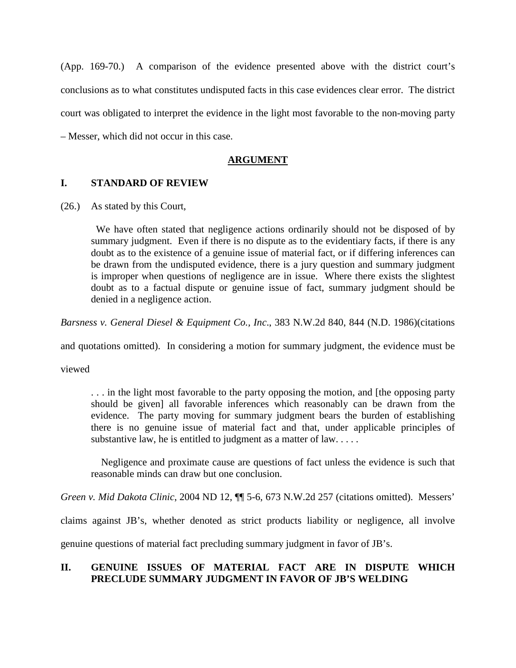(App. 169-70.) A comparison of the evidence presented above with the district court's conclusions as to what constitutes undisputed facts in this case evidences clear error. The district court was obligated to interpret the evidence in the light most favorable to the non-moving party – Messer, which did not occur in this case.

## **ARGUMENT**

## **I. STANDARD OF REVIEW**

(26.) As stated by this Court,

 We have often stated that negligence actions ordinarily should not be disposed of by summary judgment. Even if there is no dispute as to the evidentiary facts, if there is any doubt as to the existence of a genuine issue of material fact, or if differing inferences can be drawn from the undisputed evidence, there is a jury question and summary judgment is improper when questions of negligence are in issue. Where there exists the slightest doubt as to a factual dispute or genuine issue of fact, summary judgment should be denied in a negligence action.

*Barsness v. General Diesel & Equipment Co., Inc*., 383 N.W.2d 840, 844 (N.D. 1986)(citations

and quotations omitted). In considering a motion for summary judgment, the evidence must be

viewed

. . . in the light most favorable to the party opposing the motion, and [the opposing party should be given] all favorable inferences which reasonably can be drawn from the evidence. The party moving for summary judgment bears the burden of establishing there is no genuine issue of material fact and that, under applicable principles of substantive law, he is entitled to judgment as a matter of law. . . . .

 Negligence and proximate cause are questions of fact unless the evidence is such that reasonable minds can draw but one conclusion.

*Green v. Mid Dakota Clinic*, 2004 ND 12, ¶¶ 5-6, 673 N.W.2d 257 (citations omitted). Messers'

claims against JB's, whether denoted as strict products liability or negligence, all involve

genuine questions of material fact precluding summary judgment in favor of JB's.

## **II. GENUINE ISSUES OF MATERIAL FACT ARE IN DISPUTE WHICH PRECLUDE SUMMARY JUDGMENT IN FAVOR OF JB'S WELDING**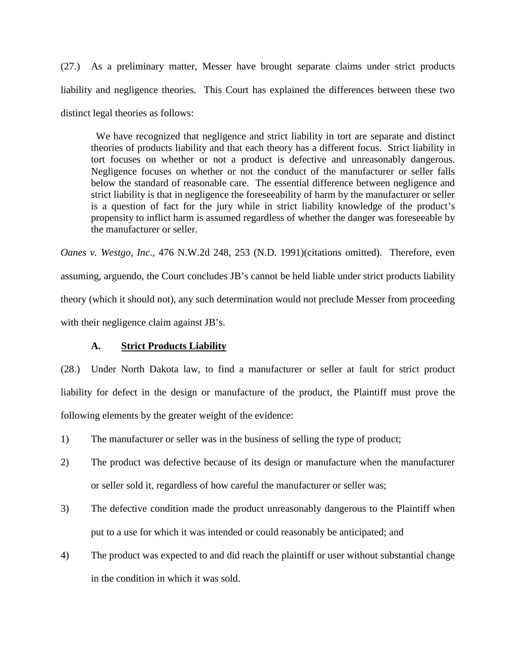(27.) As a preliminary matter, Messer have brought separate claims under strict products liability and negligence theories. This Court has explained the differences between these two distinct legal theories as follows:

 We have recognized that negligence and strict liability in tort are separate and distinct theories of products liability and that each theory has a different focus. Strict liability in tort focuses on whether or not a product is defective and unreasonably dangerous. Negligence focuses on whether or not the conduct of the manufacturer or seller falls below the standard of reasonable care. The essential difference between negligence and strict liability is that in negligence the foreseeability of harm by the manufacturer or seller is a question of fact for the jury while in strict liability knowledge of the product's propensity to inflict harm is assumed regardless of whether the danger was foreseeable by the manufacturer or seller.

*Oanes v. Westgo, Inc*., 476 N.W.2d 248, 253 (N.D. 1991)(citations omitted). Therefore, even assuming, arguendo, the Court concludes JB's cannot be held liable under strict products liability theory (which it should not), any such determination would not preclude Messer from proceeding with their negligence claim against JB's.

## **A. Strict Products Liability**

(28.) Under North Dakota law, to find a manufacturer or seller at fault for strict product liability for defect in the design or manufacture of the product, the Plaintiff must prove the following elements by the greater weight of the evidence:

- 1) The manufacturer or seller was in the business of selling the type of product;
- 2) The product was defective because of its design or manufacture when the manufacturer or seller sold it, regardless of how careful the manufacturer or seller was;
- 3) The defective condition made the product unreasonably dangerous to the Plaintiff when put to a use for which it was intended or could reasonably be anticipated; and
- 4) The product was expected to and did reach the plaintiff or user without substantial change in the condition in which it was sold.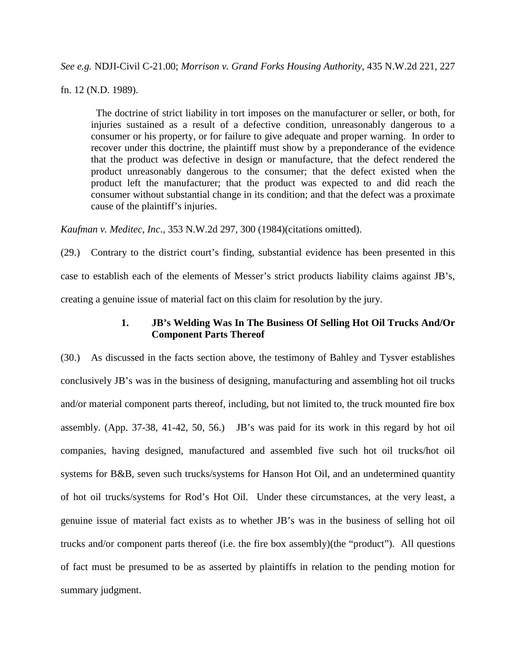*See e.g.* NDJI-Civil C-21.00; *Morrison v. Grand Forks Housing Authority*, 435 N.W.2d 221, 227

fn. 12 (N.D. 1989).

 The doctrine of strict liability in tort imposes on the manufacturer or seller, or both, for injuries sustained as a result of a defective condition, unreasonably dangerous to a consumer or his property, or for failure to give adequate and proper warning. In order to recover under this doctrine, the plaintiff must show by a preponderance of the evidence that the product was defective in design or manufacture, that the defect rendered the product unreasonably dangerous to the consumer; that the defect existed when the product left the manufacturer; that the product was expected to and did reach the consumer without substantial change in its condition; and that the defect was a proximate cause of the plaintiff's injuries.

*Kaufman v. Meditec, Inc*., 353 N.W.2d 297, 300 (1984)(citations omitted).

(29.) Contrary to the district court's finding, substantial evidence has been presented in this case to establish each of the elements of Messer's strict products liability claims against JB's, creating a genuine issue of material fact on this claim for resolution by the jury.

## **1. JB's Welding Was In The Business Of Selling Hot Oil Trucks And/Or Component Parts Thereof**

(30.) As discussed in the facts section above, the testimony of Bahley and Tysver establishes conclusively JB's was in the business of designing, manufacturing and assembling hot oil trucks and/or material component parts thereof, including, but not limited to, the truck mounted fire box assembly. (App. 37-38, 41-42, 50, 56.) JB's was paid for its work in this regard by hot oil companies, having designed, manufactured and assembled five such hot oil trucks/hot oil systems for B&B, seven such trucks/systems for Hanson Hot Oil, and an undetermined quantity of hot oil trucks/systems for Rod's Hot Oil. Under these circumstances, at the very least, a genuine issue of material fact exists as to whether JB's was in the business of selling hot oil trucks and/or component parts thereof (i.e. the fire box assembly)(the "product"). All questions of fact must be presumed to be as asserted by plaintiffs in relation to the pending motion for summary judgment.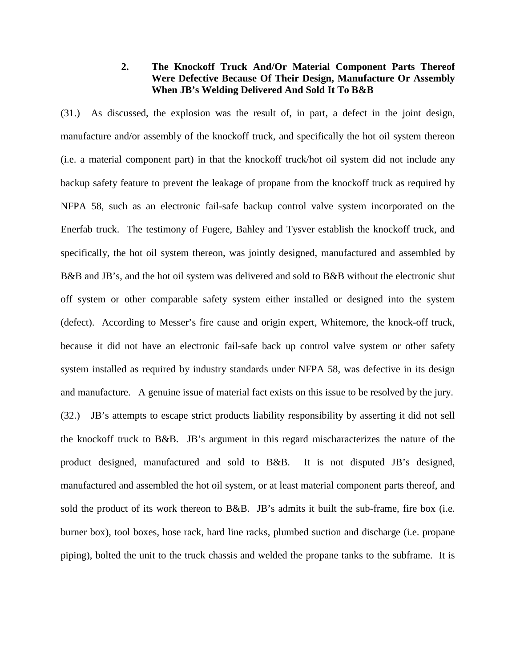#### **2. The Knockoff Truck And/Or Material Component Parts Thereof Were Defective Because Of Their Design, Manufacture Or Assembly When JB's Welding Delivered And Sold It To B&B**

(31.) As discussed, the explosion was the result of, in part, a defect in the joint design, manufacture and/or assembly of the knockoff truck, and specifically the hot oil system thereon (i.e. a material component part) in that the knockoff truck/hot oil system did not include any backup safety feature to prevent the leakage of propane from the knockoff truck as required by NFPA 58, such as an electronic fail-safe backup control valve system incorporated on the Enerfab truck. The testimony of Fugere, Bahley and Tysver establish the knockoff truck, and specifically, the hot oil system thereon, was jointly designed, manufactured and assembled by B&B and JB's, and the hot oil system was delivered and sold to B&B without the electronic shut off system or other comparable safety system either installed or designed into the system (defect). According to Messer's fire cause and origin expert, Whitemore, the knock-off truck, because it did not have an electronic fail-safe back up control valve system or other safety system installed as required by industry standards under NFPA 58, was defective in its design and manufacture. A genuine issue of material fact exists on this issue to be resolved by the jury. (32.) JB's attempts to escape strict products liability responsibility by asserting it did not sell the knockoff truck to B&B. JB's argument in this regard mischaracterizes the nature of the product designed, manufactured and sold to B&B. It is not disputed JB's designed, manufactured and assembled the hot oil system, or at least material component parts thereof, and sold the product of its work thereon to B&B. JB's admits it built the sub-frame, fire box (i.e. burner box), tool boxes, hose rack, hard line racks, plumbed suction and discharge (i.e. propane piping), bolted the unit to the truck chassis and welded the propane tanks to the subframe. It is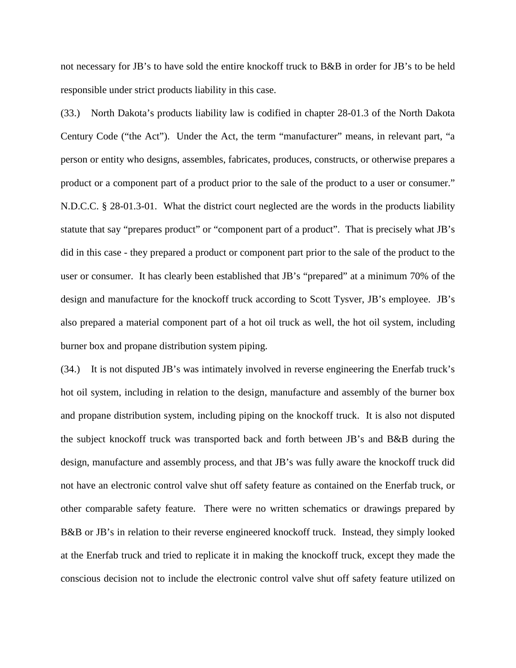not necessary for JB's to have sold the entire knockoff truck to B&B in order for JB's to be held responsible under strict products liability in this case.

(33.) North Dakota's products liability law is codified in chapter 28-01.3 of the North Dakota Century Code ("the Act"). Under the Act, the term "manufacturer" means, in relevant part, "a person or entity who designs, assembles, fabricates, produces, constructs, or otherwise prepares a product or a component part of a product prior to the sale of the product to a user or consumer." N.D.C.C. § 28-01.3-01. What the district court neglected are the words in the products liability statute that say "prepares product" or "component part of a product". That is precisely what JB's did in this case - they prepared a product or component part prior to the sale of the product to the user or consumer. It has clearly been established that JB's "prepared" at a minimum 70% of the design and manufacture for the knockoff truck according to Scott Tysver, JB's employee. JB's also prepared a material component part of a hot oil truck as well, the hot oil system, including burner box and propane distribution system piping.

(34.) It is not disputed JB's was intimately involved in reverse engineering the Enerfab truck's hot oil system, including in relation to the design, manufacture and assembly of the burner box and propane distribution system, including piping on the knockoff truck. It is also not disputed the subject knockoff truck was transported back and forth between JB's and B&B during the design, manufacture and assembly process, and that JB's was fully aware the knockoff truck did not have an electronic control valve shut off safety feature as contained on the Enerfab truck, or other comparable safety feature. There were no written schematics or drawings prepared by B&B or JB's in relation to their reverse engineered knockoff truck. Instead, they simply looked at the Enerfab truck and tried to replicate it in making the knockoff truck, except they made the conscious decision not to include the electronic control valve shut off safety feature utilized on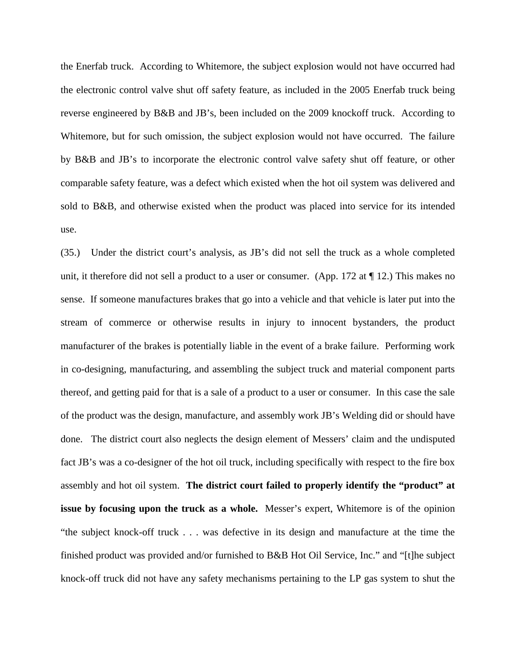the Enerfab truck. According to Whitemore, the subject explosion would not have occurred had the electronic control valve shut off safety feature, as included in the 2005 Enerfab truck being reverse engineered by B&B and JB's, been included on the 2009 knockoff truck. According to Whitemore, but for such omission, the subject explosion would not have occurred. The failure by B&B and JB's to incorporate the electronic control valve safety shut off feature, or other comparable safety feature, was a defect which existed when the hot oil system was delivered and sold to B&B, and otherwise existed when the product was placed into service for its intended use.

(35.) Under the district court's analysis, as JB's did not sell the truck as a whole completed unit, it therefore did not sell a product to a user or consumer. (App. 172 at  $\P$  12.) This makes no sense. If someone manufactures brakes that go into a vehicle and that vehicle is later put into the stream of commerce or otherwise results in injury to innocent bystanders, the product manufacturer of the brakes is potentially liable in the event of a brake failure. Performing work in co-designing, manufacturing, and assembling the subject truck and material component parts thereof, and getting paid for that is a sale of a product to a user or consumer. In this case the sale of the product was the design, manufacture, and assembly work JB's Welding did or should have done. The district court also neglects the design element of Messers' claim and the undisputed fact JB's was a co-designer of the hot oil truck, including specifically with respect to the fire box assembly and hot oil system. **The district court failed to properly identify the "product" at issue by focusing upon the truck as a whole.** Messer's expert, Whitemore is of the opinion "the subject knock-off truck . . . was defective in its design and manufacture at the time the finished product was provided and/or furnished to B&B Hot Oil Service, Inc." and "[t]he subject knock-off truck did not have any safety mechanisms pertaining to the LP gas system to shut the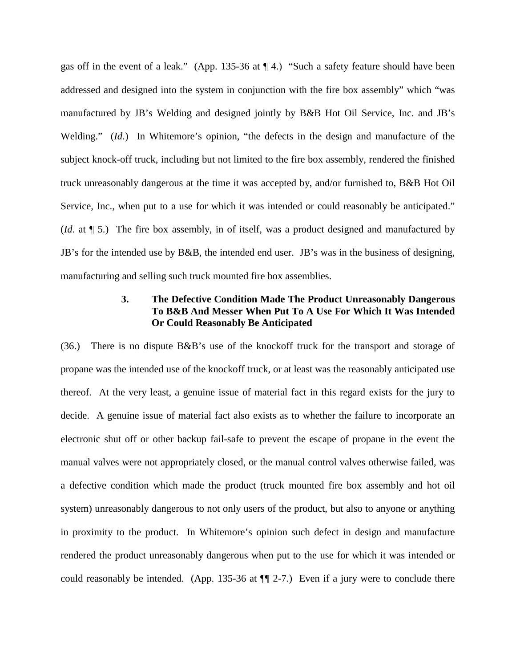gas off in the event of a leak." (App. 135-36 at ¶ 4.) "Such a safety feature should have been addressed and designed into the system in conjunction with the fire box assembly" which "was manufactured by JB's Welding and designed jointly by B&B Hot Oil Service, Inc. and JB's Welding." (*Id*.) In Whitemore's opinion, "the defects in the design and manufacture of the subject knock-off truck, including but not limited to the fire box assembly, rendered the finished truck unreasonably dangerous at the time it was accepted by, and/or furnished to, B&B Hot Oil Service, Inc., when put to a use for which it was intended or could reasonably be anticipated." (*Id*. at ¶ 5.) The fire box assembly, in of itself, was a product designed and manufactured by JB's for the intended use by B&B, the intended end user. JB's was in the business of designing, manufacturing and selling such truck mounted fire box assemblies.

#### **3. The Defective Condition Made The Product Unreasonably Dangerous To B&B And Messer When Put To A Use For Which It Was Intended Or Could Reasonably Be Anticipated**

(36.) There is no dispute B&B's use of the knockoff truck for the transport and storage of propane was the intended use of the knockoff truck, or at least was the reasonably anticipated use thereof. At the very least, a genuine issue of material fact in this regard exists for the jury to decide. A genuine issue of material fact also exists as to whether the failure to incorporate an electronic shut off or other backup fail-safe to prevent the escape of propane in the event the manual valves were not appropriately closed, or the manual control valves otherwise failed, was a defective condition which made the product (truck mounted fire box assembly and hot oil system) unreasonably dangerous to not only users of the product, but also to anyone or anything in proximity to the product. In Whitemore's opinion such defect in design and manufacture rendered the product unreasonably dangerous when put to the use for which it was intended or could reasonably be intended. (App. 135-36 at ¶¶ 2-7.) Even if a jury were to conclude there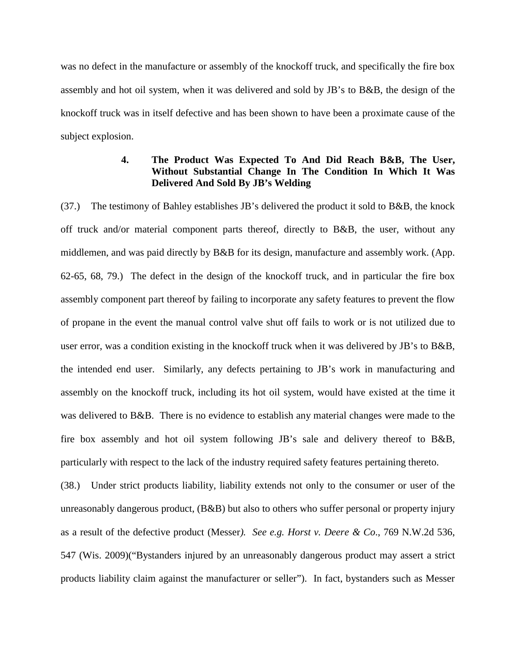was no defect in the manufacture or assembly of the knockoff truck, and specifically the fire box assembly and hot oil system, when it was delivered and sold by JB's to B&B, the design of the knockoff truck was in itself defective and has been shown to have been a proximate cause of the subject explosion.

## **4. The Product Was Expected To And Did Reach B&B, The User, Without Substantial Change In The Condition In Which It Was Delivered And Sold By JB's Welding**

(37.) The testimony of Bahley establishes JB's delivered the product it sold to B&B, the knock off truck and/or material component parts thereof, directly to B&B, the user, without any middlemen, and was paid directly by B&B for its design, manufacture and assembly work. (App. 62-65, 68, 79.) The defect in the design of the knockoff truck, and in particular the fire box assembly component part thereof by failing to incorporate any safety features to prevent the flow of propane in the event the manual control valve shut off fails to work or is not utilized due to user error, was a condition existing in the knockoff truck when it was delivered by JB's to B&B, the intended end user. Similarly, any defects pertaining to JB's work in manufacturing and assembly on the knockoff truck, including its hot oil system, would have existed at the time it was delivered to B&B. There is no evidence to establish any material changes were made to the fire box assembly and hot oil system following JB's sale and delivery thereof to B&B, particularly with respect to the lack of the industry required safety features pertaining thereto.

(38.) Under strict products liability, liability extends not only to the consumer or user of the unreasonably dangerous product, (B&B) but also to others who suffer personal or property injury as a result of the defective product (Messer*). See e.g. Horst v. Deere & Co*., 769 N.W.2d 536, 547 (Wis. 2009)("Bystanders injured by an unreasonably dangerous product may assert a strict products liability claim against the manufacturer or seller"). In fact, bystanders such as Messer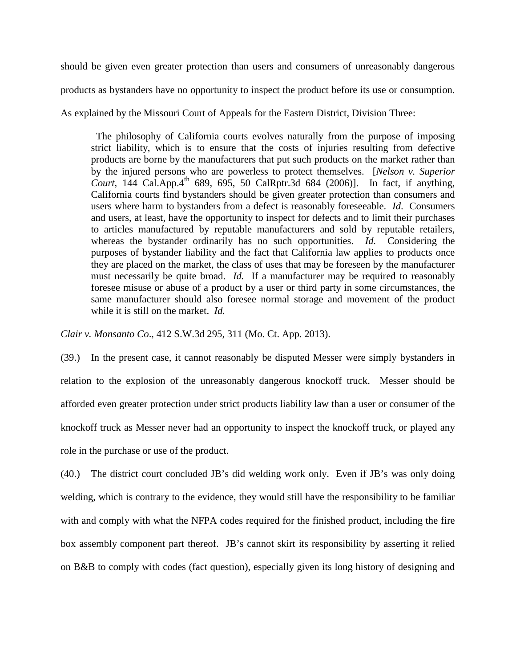should be given even greater protection than users and consumers of unreasonably dangerous

products as bystanders have no opportunity to inspect the product before its use or consumption.

As explained by the Missouri Court of Appeals for the Eastern District, Division Three:

 The philosophy of California courts evolves naturally from the purpose of imposing strict liability, which is to ensure that the costs of injuries resulting from defective products are borne by the manufacturers that put such products on the market rather than by the injured persons who are powerless to protect themselves. [*Nelson v. Superior*  Court, 144 Cal.App.4<sup>th</sup> 689, 695, 50 CalRptr.3d 684 (2006)]. In fact, if anything, California courts find bystanders should be given greater protection than consumers and users where harm to bystanders from a defect is reasonably foreseeable. *Id*. Consumers and users, at least, have the opportunity to inspect for defects and to limit their purchases to articles manufactured by reputable manufacturers and sold by reputable retailers, whereas the bystander ordinarily has no such opportunities. *Id.* Considering the purposes of bystander liability and the fact that California law applies to products once they are placed on the market, the class of uses that may be foreseen by the manufacturer must necessarily be quite broad. *Id.* If a manufacturer may be required to reasonably foresee misuse or abuse of a product by a user or third party in some circumstances, the same manufacturer should also foresee normal storage and movement of the product while it is still on the market. *Id.*

*Clair v. Monsanto Co*., 412 S.W.3d 295, 311 (Mo. Ct. App. 2013).

(39.) In the present case, it cannot reasonably be disputed Messer were simply bystanders in relation to the explosion of the unreasonably dangerous knockoff truck. Messer should be afforded even greater protection under strict products liability law than a user or consumer of the knockoff truck as Messer never had an opportunity to inspect the knockoff truck, or played any role in the purchase or use of the product.

(40.) The district court concluded JB's did welding work only. Even if JB's was only doing welding, which is contrary to the evidence, they would still have the responsibility to be familiar with and comply with what the NFPA codes required for the finished product, including the fire box assembly component part thereof. JB's cannot skirt its responsibility by asserting it relied on B&B to comply with codes (fact question), especially given its long history of designing and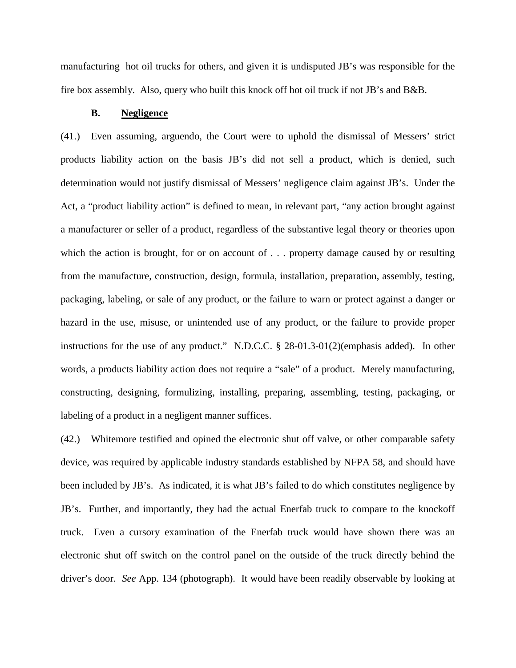manufacturing hot oil trucks for others, and given it is undisputed JB's was responsible for the fire box assembly. Also, query who built this knock off hot oil truck if not JB's and B&B.

#### **B. Negligence**

(41.) Even assuming, arguendo, the Court were to uphold the dismissal of Messers' strict products liability action on the basis JB's did not sell a product, which is denied, such determination would not justify dismissal of Messers' negligence claim against JB's. Under the Act, a "product liability action" is defined to mean, in relevant part, "any action brought against a manufacturer or seller of a product, regardless of the substantive legal theory or theories upon which the action is brought, for or on account of ... property damage caused by or resulting from the manufacture, construction, design, formula, installation, preparation, assembly, testing, packaging, labeling, or sale of any product, or the failure to warn or protect against a danger or hazard in the use, misuse, or unintended use of any product, or the failure to provide proper instructions for the use of any product." N.D.C.C. § 28-01.3-01(2)(emphasis added). In other words, a products liability action does not require a "sale" of a product. Merely manufacturing, constructing, designing, formulizing, installing, preparing, assembling, testing, packaging, or labeling of a product in a negligent manner suffices.

(42.) Whitemore testified and opined the electronic shut off valve, or other comparable safety device, was required by applicable industry standards established by NFPA 58, and should have been included by JB's. As indicated, it is what JB's failed to do which constitutes negligence by JB's. Further, and importantly, they had the actual Enerfab truck to compare to the knockoff truck. Even a cursory examination of the Enerfab truck would have shown there was an electronic shut off switch on the control panel on the outside of the truck directly behind the driver's door. *See* App. 134 (photograph). It would have been readily observable by looking at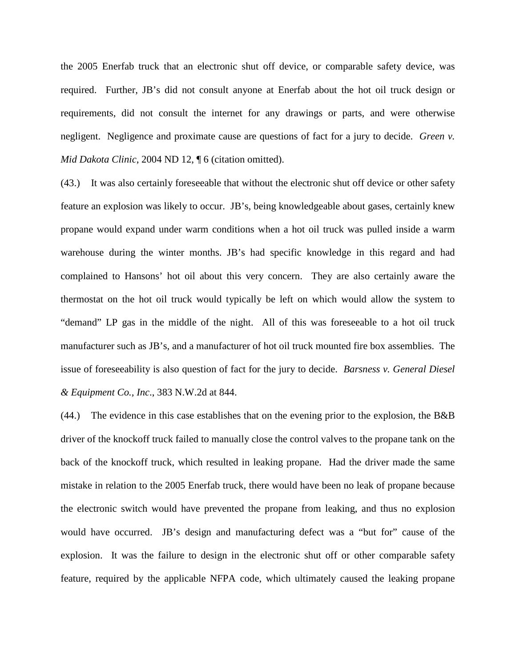the 2005 Enerfab truck that an electronic shut off device, or comparable safety device, was required. Further, JB's did not consult anyone at Enerfab about the hot oil truck design or requirements, did not consult the internet for any drawings or parts, and were otherwise negligent. Negligence and proximate cause are questions of fact for a jury to decide. *Green v. Mid Dakota Clinic*, 2004 ND 12, ¶ 6 (citation omitted).

(43.) It was also certainly foreseeable that without the electronic shut off device or other safety feature an explosion was likely to occur. JB's, being knowledgeable about gases, certainly knew propane would expand under warm conditions when a hot oil truck was pulled inside a warm warehouse during the winter months. JB's had specific knowledge in this regard and had complained to Hansons' hot oil about this very concern. They are also certainly aware the thermostat on the hot oil truck would typically be left on which would allow the system to "demand" LP gas in the middle of the night. All of this was foreseeable to a hot oil truck manufacturer such as JB's, and a manufacturer of hot oil truck mounted fire box assemblies. The issue of foreseeability is also question of fact for the jury to decide. *Barsness v. General Diesel & Equipment Co., Inc*., 383 N.W.2d at 844.

(44.) The evidence in this case establishes that on the evening prior to the explosion, the B&B driver of the knockoff truck failed to manually close the control valves to the propane tank on the back of the knockoff truck, which resulted in leaking propane. Had the driver made the same mistake in relation to the 2005 Enerfab truck, there would have been no leak of propane because the electronic switch would have prevented the propane from leaking, and thus no explosion would have occurred. JB's design and manufacturing defect was a "but for" cause of the explosion. It was the failure to design in the electronic shut off or other comparable safety feature, required by the applicable NFPA code, which ultimately caused the leaking propane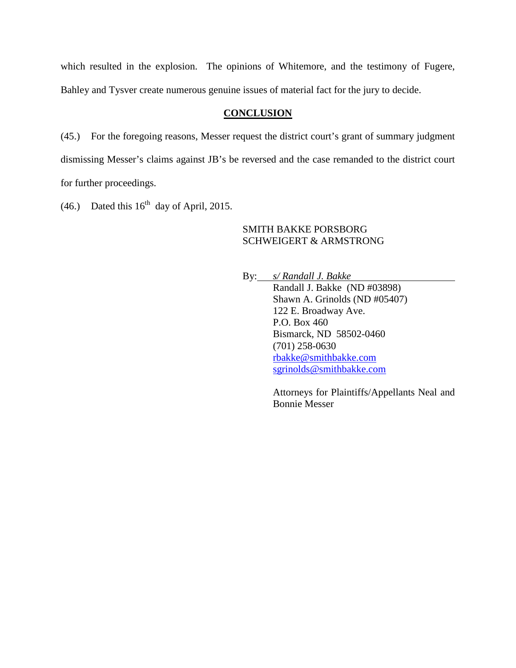which resulted in the explosion. The opinions of Whitemore, and the testimony of Fugere, Bahley and Tysver create numerous genuine issues of material fact for the jury to decide.

#### **CONCLUSION**

(45.) For the foregoing reasons, Messer request the district court's grant of summary judgment dismissing Messer's claims against JB's be reversed and the case remanded to the district court for further proceedings.

(46.) Dated this  $16<sup>th</sup>$  day of April, 2015.

#### SMITH BAKKE PORSBORG SCHWEIGERT & ARMSTRONG

By: *s/ Randall J. Bakke*  Randall J. Bakke (ND #03898) Shawn A. Grinolds (ND #05407) 122 E. Broadway Ave. P.O. Box 460 Bismarck, ND 58502-0460 (701) 258-0630 [rbakke@smithbakke.com](mailto:rbakke@smithbakke.com) [sgrinolds@smithbakke.com](mailto:sgrinolds@smithbakke.com)

> Attorneys for Plaintiffs/Appellants Neal and Bonnie Messer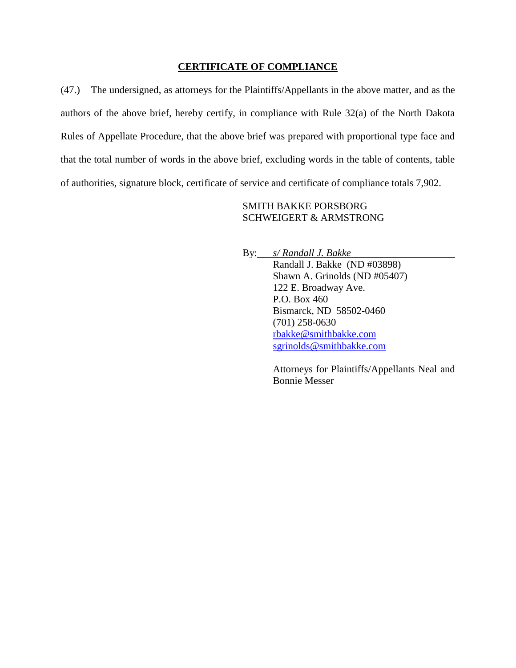#### **CERTIFICATE OF COMPLIANCE**

(47.) The undersigned, as attorneys for the Plaintiffs/Appellants in the above matter, and as the authors of the above brief, hereby certify, in compliance with Rule 32(a) of the North Dakota Rules of Appellate Procedure, that the above brief was prepared with proportional type face and that the total number of words in the above brief, excluding words in the table of contents, table of authorities, signature block, certificate of service and certificate of compliance totals 7,902.

## SMITH BAKKE PORSBORG SCHWEIGERT & ARMSTRONG

By: *s/ Randall J. Bakke* 

Randall J. Bakke (ND #03898) Shawn A. Grinolds (ND #05407) 122 E. Broadway Ave. P.O. Box 460 Bismarck, ND 58502-0460 (701) 258-0630 [rbakke@smithbakke.com](mailto:rbakke@smithbakke.com) [sgrinolds@smithbakke.com](mailto:sgrinolds@smithbakke.com)

Attorneys for Plaintiffs/Appellants Neal and Bonnie Messer